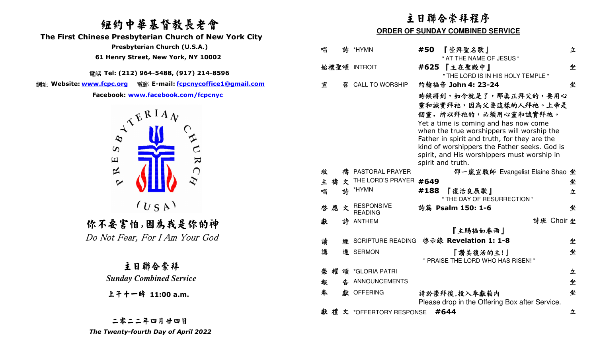# 紐約中華基督教長老會

 **The First Chinese Presbyterian Church of New York City** 

 **Presbyterian Church (U.S.A.)** 

 **61 Henry Street, New York, NY 10002**

電話 **Tel: (212) 964-5488, (917) 214-8596** 

網址 **Website: www.fcpc.org** 電郵 **E-mail: fcpcnycoffice1@gmail.com**



# 你不要害怕,因為我是你的神

Do Not Fear, For I Am Your God

主日聯合崇拜 *Sunday Combined Service* 

上午十一時 **11:00 a.m.**

二零二二年四月廿四日 *The Twenty-fourth Day of April 2022* 

# 主日聯合崇拜程序

### **ORDER OF SUNDAY COMBINED SERVICE**

| 唱      |        | 詩 *HYMN                             | 『崇拜聖名歌』<br>#50<br>" AT THE NAME OF JESUS "                                                                                                                                                                                                                                                                                                                           | 立 |
|--------|--------|-------------------------------------|----------------------------------------------------------------------------------------------------------------------------------------------------------------------------------------------------------------------------------------------------------------------------------------------------------------------------------------------------------------------|---|
|        |        | 始禮聖頌 INTROIT                        | #625 『主在聖殿中』<br>" THE LORD IS IN HIS HOLY TEMPLE "                                                                                                                                                                                                                                                                                                                   | 坐 |
| 宣      | 24     | <b>CALL TO WORSHIP</b>              | 約翰福音 John 4: 23-24                                                                                                                                                                                                                                                                                                                                                   | 坐 |
| 牧      |        | 禱 PASTORAL PRAYER                   | 時候將到,如今就是了,那真正拜父的,要用心<br>靈和誠實拜祂,因爲父要這樣的人拜祂。上帝是<br>個靈。所以拜祂的,必須用心靈和誠實拜祂。<br>Yet a time is coming and has now come<br>when the true worshippers will worship the<br>Father in spirit and truth, for they are the<br>kind of worshippers the Father seeks. God is<br>spirit, and His worshippers must worship in<br>spirit and truth.<br>邵一嵐宣教師 Evangelist Elaine Shao 坐 |   |
| 主      | 禱<br>文 | THE LORD'S PRAYER                   | #649                                                                                                                                                                                                                                                                                                                                                                 | 坐 |
| 唱      | 誅      | *HYMN                               | 『復活良辰歌』<br>#188<br>" THE DAY OF RESURRECTION "                                                                                                                                                                                                                                                                                                                       | 立 |
| 應<br>啓 | 文      | <b>RESPONSIVE</b><br><b>READING</b> | 詩篇 Psalm 150: 1-6                                                                                                                                                                                                                                                                                                                                                    | 坐 |
| 獻      |        | 詩 ANTHEM                            | 詩班 Choir 坐                                                                                                                                                                                                                                                                                                                                                           |   |
|        |        |                                     | 『主賜福如春雨』                                                                                                                                                                                                                                                                                                                                                             |   |
| 讀      | 痰      |                                     | SCRIPTURE READING 啓示錄 Revelation 1: 1-8                                                                                                                                                                                                                                                                                                                              | 坐 |
| 講      |        | 道 SERMON                            | 『讚美復活的主!』<br>" PRAISE THE LORD WHO HAS RISEN!"                                                                                                                                                                                                                                                                                                                       | 坐 |
| 榮      | 耀      | 頌 *GLORIA PATRI                     |                                                                                                                                                                                                                                                                                                                                                                      | 立 |
| 報      |        | 告 ANNOUNCEMENTS                     |                                                                                                                                                                                                                                                                                                                                                                      | 坐 |
| 奉      |        | 獻 OFFERING                          | 請於崇拜後,投入奉獻箱内<br>Please drop in the Offering Box after Service.                                                                                                                                                                                                                                                                                                       | 坐 |
|        |        | 獻禮文 *OFFERTORY RESPONSE             | #644                                                                                                                                                                                                                                                                                                                                                                 | 立 |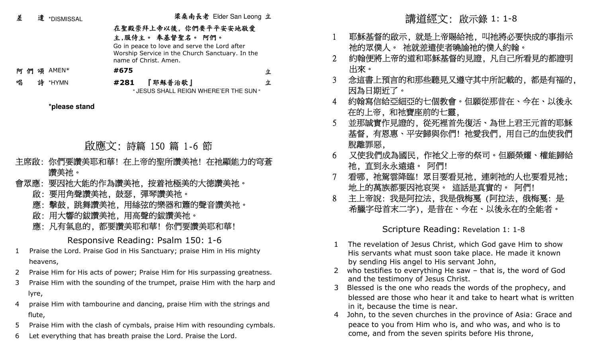| 差         | 遣 *DISMISSAL                                         | 梁桑南長老 Elder San Leong 立                                                                                                                                               |   |
|-----------|------------------------------------------------------|-----------------------------------------------------------------------------------------------------------------------------------------------------------------------|---|
|           |                                                      | 在聖殿崇拜上帝以後,你們要平平安安地敬愛<br>主,服侍主。 奉基督聖名。 阿們。<br>Go in peace to love and serve the Lord after<br>Worship Service in the Church Sanctuary. In the<br>name of Christ, Amen. |   |
| 阿們頌 AMEN* |                                                      | #675                                                                                                                                                                  | 立 |
| 唱         | 詩 *HYMN                                              | 『耶穌普治歌』<br>#281<br>" JESUS SHALL REIGN WHERE'ER THE SUN "                                                                                                             | 立 |
|           | *please stand                                        |                                                                                                                                                                       |   |
|           |                                                      | 啟應文: 詩篇 150 篇 1-6 節                                                                                                                                                   |   |
|           | 讚美祂。                                                 | 主席啟:你們要讚美耶和華!在上帝的聖所讚美祂!在祂顯能力的穹蒼                                                                                                                                       |   |
|           | 會眾應: 要因祂大能的作為讚美祂,按着祂極美的大德讚美祂。<br>啟:要用角聲讚美祂,鼓瑟,彈琴讚美祂。 |                                                                                                                                                                       |   |
|           | 應:擊鼓,跳舞讚美祂,用絲弦的樂器和簫的聲音讚美祂。<br>啟:用大響的鈸讚美祂,用高聲的鈸讚美祂。   |                                                                                                                                                                       |   |

應: 凡有氣息的, 都要讚美耶和華! 你們要讚美耶和華!

Responsive Reading: Psalm 150: 1-6

- 1 Praise the Lord. Praise God in His Sanctuary; praise Him in His mighty heavens,
- 2 Praise Him for His acts of power; Praise Him for His surpassing greatness.
- 3 Praise Him with the sounding of the trumpet, praise Him with the harp and lyre,
- 4 praise Him with tambourine and dancing, praise Him with the strings and flute,
- 5 Praise Him with the clash of cymbals, praise Him with resounding cymbals.
- 6 Let everything that has breath praise the Lord. Praise the Lord.
- 1 耶穌基督的啟示, 就是上帝賜給祂, 叫祂將必要快成的事指示 祂的眾僕人。 祂就差遣使者曉諭祂的僕人約翰。
- 2 約翰便將上帝的道和耶穌基督的見證, 凡自己所看見的都證明 出來。
- 3 念這書上預言的和那些聽見又遵守其中所記載的, 都是有福的, 因為日期近了。
- 4 約翰寫信給亞細亞的七個教會。但願從那昔在、今在、以後永 在的上帝, 和祂寶座前的七靈,
- 5 並那誠實作見證的, 從死裡首先復活、為世上君王元首的耶穌 基督, 有恩惠、平安歸與你們! 祂愛我們, 用自己的血使我們 脫離罪惡,
- 6 又使我們成為國民, 作祂父上帝的祭司。但願榮耀、權能歸給 祂, 直到永永遠遠。 阿們!
- 7 看哪, 祂駕雲降臨! 眾目要看見祂, 連刺祂的人也要看見祂; 地上的萬族都要因祂哀哭。 這話是真實的。 阿們!
- 8 主上帝說: 我是阿拉法, 我是俄梅戛 (阿拉法, 俄梅戛: 是 希臘字母首末二字), 是昔在、今在、以後永在的全能者。

Scripture Reading: Revelation 1: 1-8

- 1 The revelation of Jesus Christ, which God gave Him to show His servants what must soon take place. He made it known by sending His angel to His servant John,
- 2 who testifies to everything He saw that is, the word of God and the testimony of Jesus Christ.
- Blessed is the one who reads the words of the prophecy, and 3 blessed are those who hear it and take to heart what is written in it, because the time is near.
- John, to the seven churches in the province of Asia: Grace and 4 peace to you from Him who is, and who was, and who is to come, and from the seven spirits before His throne,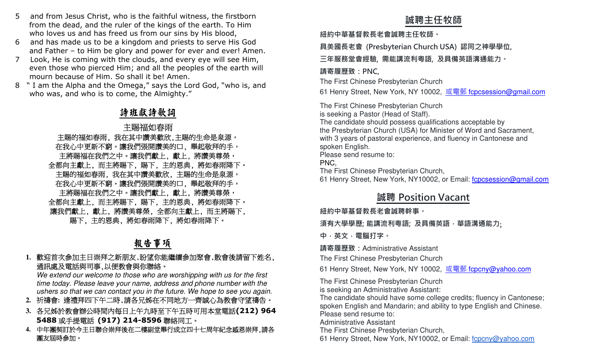- 5 and from Jesus Christ, who is the faithful witness, the firstborn from the dead, and the ruler of the kings of the earth. To Him who loves us and has freed us from our sins by His blood,
- 6 and has made us to be a kingdom and priests to serve His God and Father – to Him be glory and power for ever and ever! Amen.
- 7 Look, He is coming with the clouds, and every eye will see Him, even those who pierced Him; and all the peoples of the earth will mourn because of Him. So shall it be! Amen.
- 8 " I am the Alpha and the Omega," says the Lord God, "who is, and who was, and who is to come, the Almighty."

# 詩班獻詩歌詞

# 主賜福如春雨 主賜的福如春雨, 我在其中讚美歡欣,主賜的生命是泉源, 在我心中更新不窮。讓我們張開讚美的口, 舉起敬拜的手, 主將賜福在我們之中。讓我們獻上,獻上,將讚美尊榮, 全都向主獻上, 而主將賜下, 賜下, 主的恩典, 將如春雨降下。 主賜的福如春雨, 我在其中讚美歡欣, 主賜的生命是泉源, 在我心中更新不窮。讓我們張開讚美的口, 舉起敬拜的手, 主將賜福在我們之中。讓我們獻上,獻上,將讚美尊榮, 全都向主獻上, 而主將賜下, 賜下, 主的恩典, 將如春雨降下。 讓我們獻上, 獻上, 將讚美尊榮, 全都向主獻上, 而主將賜下, 賜下, 主的恩典, 將如春雨降下, 將如春雨降下。 and and two and the final materials to several term in the second of the second of the second of the second of the second of the second of the second of the second of the second of the second of the second of the second

# 報告事項

### **1.**歡迎首次參加主日崇拜之新朋友,盼望你能繼續參加聚會,散會後請留下姓名,通訊處及電話與司事,以便教會與你聯絡。

 We extend our welcome to those who are worshipping with us for the first time today. Please leave your name, address and phone number with the ushers so that we can contact you in the future. We hope to see you again.

- **2.**祈禱會**:** 逢禮拜四下午二時,請各兄姊在不同地方一齊誠心為教會守望禱告。
- **3.**各兄姊於教會辦公時間內每日上午九時至下午五時可用本堂電話**(212) 964 5488 或手提電話 (917) 214-8596 聯絡同工。**<br>4 中年圃製訂於今ま日聯会崇拜後左二<u>捷朝</u>堂奥行成立四−
- **4.**中年團契訂於今主日聯合崇拜後在二樓副堂舉行成立四十七周年紀念感恩崇拜,請各團友屆時參加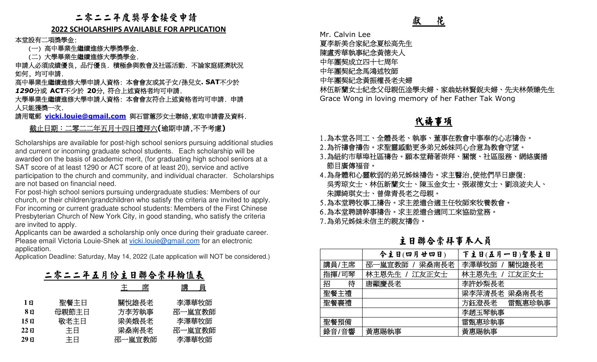### 二零二二年度獎學金接受申請

### **2022 SCHOLARSHIPS AVAILABLE FOR APPLICATION**

本堂設有二項獎學金:

(一) 高中畢業生繼續進修大學獎學金.

(二) 大學畢業生繼續進修大學獎學金.

 申請人必須成績優良, 品行優良. 積極參與教會及社區活動. 不論家庭經濟狀況 如何, 均可申請.

 高中畢業生繼續進修大學申請人資格: 本會會友或其子女/孫兒女**. SAT**不少於*1290*分或 **ACT**不少於 **20**分, 符合上述資格者均可申請.

 大學畢業生繼續進修大學申請人資格: 本會會友符合上述資格者均可申請. 申請 人只能獲獎一次.

請用電郵 **vicki.louie@gmail.com** 與石雷蕙莎女士聯絡,索取申請書及資料.

### 截止日期:二零二二年五月十四日禮拜六**(**逾期申請,不予考慮**)**

Scholarships are available for post-high school seniors pursuing additional studies and current or incoming graduate school students. Each scholarship will be awarded on the basis of academic merit, (for graduating high school seniors at a SAT score of at least 1290 or ACT score of at least 20), service and active participation to the church and community, and individual character. Scholarships are not based on financial need.

 For post-high school seniors pursuing undergraduate studies: Members of our church, or their children/grandchildren who satisfy the criteria are invited to apply. For incoming or current graduate school students: Members of the First Chinese Presbyterian Church of New York City, in good standing, who satisfy the criteria are invited to apply.

 Applicants can be awarded a scholarship only once during their graduate career. Please email Victoria Louie-Shek at vicki.louie@gmail.com for an electronic application.

Application Deadline: Saturday, May 14, 2022 (Late application will NOT be considered.)

|      | 二零二二年五月份主日聯合崇拜輪值表 |                |                 |
|------|-------------------|----------------|-----------------|
|      |                   | 席<br>王         | 講<br>- 貞        |
| 1 ជ  | 聖餐主日<br>母親節主日     | 關悅雄長老<br>方李芳執事 | 李澤華牧師<br>邵一嵐宣教師 |
| 15 ម | 敬老主日              | 梁美娥長老          | 李澤華牧師           |
| 22 ย | 主日                | 梁燊南長老          | 邵一嵐宣教師          |
| 29 E | 主日                | 邵一嵐宣教師         | 李澤華牧師           |

# 代禱事項

- 1.為本堂各同工、全體長老、執事、董事在教會中事奉的心志禱告。
- 2.為祈禱會禱告。求聖靈感動更多弟兄姊妹同心合意為教會守望。
- 3.為紐約市華埠社區禱告。願本堂藉著崇拜、關懷、社區服務、網絡廣播 節目廣傳福音。
- 4.為身體和心靈軟弱的弟兄姊妹禱告。求主醫治,使他們早日康復: 吳秀琼女士、林伍新蘭女士、陳玉金女士、張淑德女士、劉浪波夫人、 朱譚綺琪女士、曾偉青長老之母親。
- 5.為本堂聘牧事工禱告。求主差遣合適主任牧師來牧養教會。
- 6.為本堂聘請幹事禱告。求主差遣合適同工來協助堂務。

主日聯合崇拜事奉人員

|                                                                                                                                                                                                              |                            | 獻<br>花                                                                                                                                                                                                                                                                                        |                                   |  |  |
|--------------------------------------------------------------------------------------------------------------------------------------------------------------------------------------------------------------|----------------------------|-----------------------------------------------------------------------------------------------------------------------------------------------------------------------------------------------------------------------------------------------------------------------------------------------|-----------------------------------|--|--|
| <b>ATION</b>                                                                                                                                                                                                 | Mr. Calvin Lee             | 夏李新美合家紀念夏松高先生<br>陳盧秀華執事紀念黃德夫人                                                                                                                                                                                                                                                                 |                                   |  |  |
| 家庭經濟狀況                                                                                                                                                                                                       | 中年團契成立四十七周年<br>中年團契紀念馬鴻述牧師 |                                                                                                                                                                                                                                                                                               |                                   |  |  |
| SAT不少於                                                                                                                                                                                                       |                            | 中年團契紀念黃振權長老夫婦                                                                                                                                                                                                                                                                                 | 林伍新蘭女士紀念父母親伍淦學夫婦、家翁姑林賢銳夫婦、先夫林榮臻先生 |  |  |
| 可申請.申請                                                                                                                                                                                                       |                            | Grace Wong in loving memory of her Father Tak Wong                                                                                                                                                                                                                                            |                                   |  |  |
| 申請書及資料.                                                                                                                                                                                                      |                            | <u>代禱事項</u>                                                                                                                                                                                                                                                                                   |                                   |  |  |
| 考慮)                                                                                                                                                                                                          |                            |                                                                                                                                                                                                                                                                                               |                                   |  |  |
| ing additional studies<br>nolarship will be<br>school seniors at a<br>ice and active<br>aracter. Scholarships<br>: Members of our<br>are invited to apply.<br>of the First Chinese<br>b satisfy the criteria |                            | 1.為本堂各同工、全體長老、執事、董事在教會中事奉的心志禱告。<br>2.為祈禱會禱告。求聖靈感動更多弟兄姊妹同心合意為教會守望。<br>3.為紐約市華埠社區禱告。願本堂藉著崇拜、關懷、社區服務、網絡廣播<br>節目廣傳福音。<br>4.為身體和心靈軟弱的弟兄姊妹禱告。求主醫治,使他們早日康復:<br>吳秀琼女士、林伍新蘭女士、陳玉金女士、張淑德女士、劉浪波夫人、<br>朱譚綺琪女士、曾偉青長老之母親。<br>5.為本堂聘牧事工禱告。求主差遣合適主任牧師來牧養教會。<br>6.為本堂聘請幹事禱告。求主差遣合適同工來協助堂務。<br>7.為弟兄姊妹未信主的親友禱告。 |                                   |  |  |
| eir graduate career.<br>or an electronic                                                                                                                                                                     |                            | 主日聯合崇拜事奉人員                                                                                                                                                                                                                                                                                    |                                   |  |  |
| Il NOT be considered.)                                                                                                                                                                                       |                            | 今主日(四月廿四日)                                                                                                                                                                                                                                                                                    | 下主日(五月一日)聖餐主日                     |  |  |
|                                                                                                                                                                                                              | 講員/主席                      | 邵一嵐宣教師 / 梁桑南長老                                                                                                                                                                                                                                                                                | 李澤華牧師 /<br>關悅雄長老                  |  |  |
|                                                                                                                                                                                                              | 指揮/司琴                      | 林主恩先生 / 江友正女士                                                                                                                                                                                                                                                                                 | 林主恩先生 /<br>江友正女士                  |  |  |
|                                                                                                                                                                                                              | $+ \tau$<br>仕上<br>招<br>行   | 唐顯慶長老                                                                                                                                                                                                                                                                                         | 李許妙梨長老                            |  |  |
|                                                                                                                                                                                                              | 聖餐主禮                       |                                                                                                                                                                                                                                                                                               | 梁李萍清長老 梁桑南長老                      |  |  |
| 師                                                                                                                                                                                                            | 聖餐襄禮                       |                                                                                                                                                                                                                                                                                               | 方鈺澄長老<br>雷甄惠珍執事                   |  |  |
| 妯<br>師                                                                                                                                                                                                       | 聖餐預備                       |                                                                                                                                                                                                                                                                                               | 李趙玉琴執事<br>雷甄惠珍執事                  |  |  |
| 妯                                                                                                                                                                                                            | 錄音/音響                      | 黃惠賜執事                                                                                                                                                                                                                                                                                         | 黃惠賜執事                             |  |  |
| 師                                                                                                                                                                                                            |                            |                                                                                                                                                                                                                                                                                               |                                   |  |  |